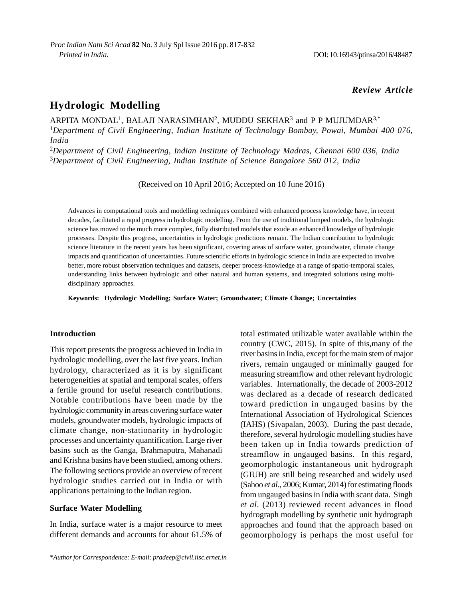# *Review Article*

# **Hydrologic Modelling**

ARPITA MONDAL<sup>1</sup>, BALAJI NARASIMHAN<sup>2</sup>, MUDDU SEKHAR<sup>3</sup> and P P MUJUMDAR<sup>3,\*</sup> <sup>1</sup>*Department of Civil Engineering, Indian Institute of Technology Bombay, Powai, Mumbai 400 076, India* <sup>2</sup>*Department of Civil Engineering, Indian Institute of Technology Madras, Chennai 600 036, India* <sup>3</sup>*Department of Civil Engineering, Indian Institute of Science Bangalore 560 012, India*

(Received on 10 April 2016; Accepted on 10 June 2016)

Advances in computational tools and modelling techniques combined with enhanced process knowledge have, in recent decades, facilitated a rapid progress in hydrologic modelling. From the use of traditional lumped models, the hydrologic science has moved to the much more complex, fully distributed models that exude an enhanced knowledge of hydrologic processes. Despite this progress, uncertainties in hydrologic predictions remain. The Indian contribution to hydrologic science literature in the recent years has been significant, covering areas of surface water, groundwater, climate change impacts and quantification of uncertainties. Future scientific efforts in hydrologic science in India are expected to involve better, more robust observation techniques and datasets, deeper process-knowledge at a range of spatio-temporal scales, understanding links between hydrologic and other natural and human systems, and integrated solutions using multidisciplinary approaches.

**Keywords: Hydrologic Modelling; Surface Water; Groundwater; Climate Change; Uncertainties**

### **Introduction**

This report presents the progress achieved in India in hydrologic modelling, over the last five years. Indian hydrology, characterized as it is by significant heterogeneities at spatial and temporal scales, offers a fertile ground for useful research contributions. Notable contributions have been made by the hydrologic community in areas covering surface water models, groundwater models, hydrologic impacts of climate change, non-stationarity in hydrologic processes and uncertainty quantification. Large river basins such as the Ganga, Brahmaputra, Mahanadi and Krishna basins have been studied, among others. The following sections provide an overview of recent hydrologic studies carried out in India or with applications pertaining to the Indian region.

### **Surface Water Modelling**

In India, surface water is a major resource to meet different demands and accounts for about 61.5% of

\**Author for Correspondence: E-mail: pradeep@civil.iisc.ernet.in*

total estimated utilizable water available within the country (CWC, 2015). In spite of this,many of the river basins in India, except for the main stem of major rivers, remain ungauged or minimally gauged for measuring streamflow and other relevant hydrologic variables. Internationally, the decade of 2003-2012 was declared as a decade of research dedicated toward prediction in ungauged basins by the International Association of Hydrological Sciences (IAHS) (Sivapalan, 2003). During the past decade, therefore, several hydrologic modelling studies have been taken up in India towards prediction of streamflow in ungauged basins. In this regard, geomorphologic instantaneous unit hydrograph (GIUH) are still being researched and widely used (Sahoo *et al*., 2006; Kumar, 2014) for estimating floods from ungauged basins in India with scant data. Singh *et al*. (2013) reviewed recent advances in flood hydrograph modelling by synthetic unit hydrograph approaches and found that the approach based on geomorphology is perhaps the most useful for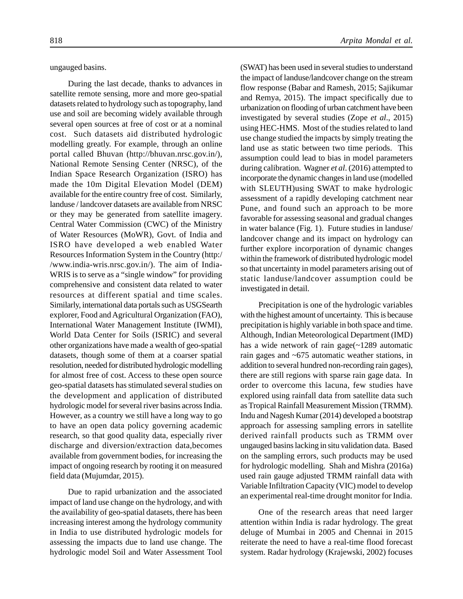ungauged basins.

During the last decade, thanks to advances in satellite remote sensing, more and more geo-spatial datasets related to hydrology such as topography, land use and soil are becoming widely available through several open sources at free of cost or at a nominal cost. Such datasets aid distributed hydrologic modelling greatly. For example, through an online portal called Bhuvan (http://bhuvan.nrsc.gov.in/), National Remote Sensing Center (NRSC), of the Indian Space Research Organization (ISRO) has made the 10m Digital Elevation Model (DEM) available for the entire country free of cost. Similarly, landuse / landcover datasets are available from NRSC or they may be generated from satellite imagery. Central Water Commission (CWC) of the Ministry of Water Resources (MoWR), Govt. of India and ISRO have developed a web enabled Water Resources Information System in the Country (http:/ /www.india-wris.nrsc.gov.in/). The aim of India-WRIS is to serve as a "single window" for providing comprehensive and consistent data related to water resources at different spatial and time scales. Similarly, international data portals such as USGSearth explorer, Food and Agricultural Organization (FAO), International Water Management Institute (IWMI), World Data Center for Soils (ISRIC) and several other organizations have made a wealth of geo-spatial datasets, though some of them at a coarser spatial resolution, needed for distributed hydrologic modelling for almost free of cost. Access to these open source geo-spatial datasets has stimulated several studies on the development and application of distributed hydrologic model for several river basins across India. However, as a country we still have a long way to go to have an open data policy governing academic research, so that good quality data, especially river discharge and diversion/extraction data,becomes available from government bodies, for increasing the impact of ongoing research by rooting it on measured field data (Mujumdar, 2015).

Due to rapid urbanization and the associated impact of land use change on the hydrology, and with the availability of geo-spatial datasets, there has been increasing interest among the hydrology community in India to use distributed hydrologic models for assessing the impacts due to land use change. The hydrologic model Soil and Water Assessment Tool

(SWAT) has been used in several studies to understand the impact of landuse/landcover change on the stream flow response (Babar and Ramesh, 2015; Sajikumar and Remya, 2015). The impact specifically due to urbanization on flooding of urban catchment have been investigated by several studies (Zope *et al*., 2015) using HEC-HMS. Most of the studies related to land use change studied the impacts by simply treating the land use as static between two time periods. This assumption could lead to bias in model parameters during calibration. Wagner *et al*. (2016) attempted to incorporate the dynamic changes in land use (modelled with SLEUTH)using SWAT to make hydrologic assessment of a rapidly developing catchment near Pune, and found such an approach to be more favorable for assessing seasonal and gradual changes in water balance (Fig. 1). Future studies in landuse/ landcover change and its impact on hydrology can further explore incorporation of dynamic changes within the framework of distributed hydrologic model so that uncertainty in model parameters arising out of static landuse/landcover assumption could be investigated in detail.

Precipitation is one of the hydrologic variables with the highest amount of uncertainty. This is because precipitation is highly variable in both space and time. Although, Indian Meteorological Department (IMD) has a wide network of rain gage(~1289 automatic rain gages and ~675 automatic weather stations, in addition to several hundred non-recording rain gages), there are still regions with sparse rain gage data. In order to overcome this lacuna, few studies have explored using rainfall data from satellite data such as Tropical Rainfall Measurement Mission (TRMM). Indu and Nagesh Kumar (2014) developed a bootstrap approach for assessing sampling errors in satellite derived rainfall products such as TRMM over ungauged basins lacking in situ validation data. Based on the sampling errors, such products may be used for hydrologic modelling. Shah and Mishra (2016a) used rain gauge adjusted TRMM rainfall data with Variable Infiltration Capacity (VIC) model to develop an experimental real-time drought monitor for India.

One of the research areas that need larger attention within India is radar hydrology. The great deluge of Mumbai in 2005 and Chennai in 2015 reiterate the need to have a real-time flood forecast system. Radar hydrology (Krajewski, 2002) focuses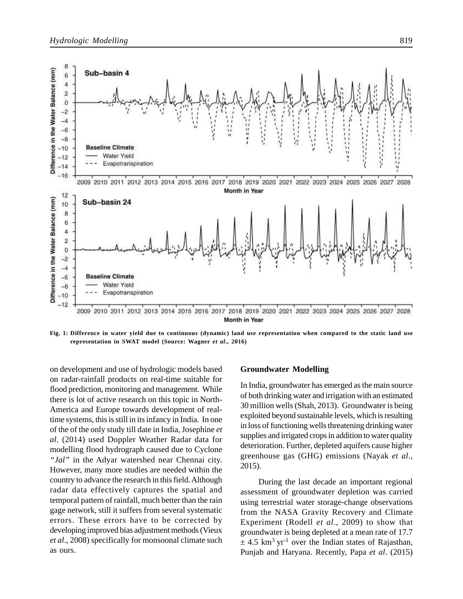

**Fig. 1: Difference in water yield due to continuous (dynamic) land use representation when compared to the static land use representation in SWAT model (Source: Wagner** *et al***., 2016)**

on development and use of hydrologic models based on radar-rainfall products on real-time suitable for flood prediction, monitoring and management. While there is lot of active research on this topic in North-America and Europe towards development of realtime systems, this is still in its infancy in India. In one of the of the only study till date in India, Josephine *et al*. (2014) used Doppler Weather Radar data for modelling flood hydrograph caused due to Cyclone *"Jal"* in the Adyar watershed near Chennai city. However, many more studies are needed within the country to advance the research in this field. Although radar data effectively captures the spatial and temporal pattern of rainfall, much better than the rain gage network, still it suffers from several systematic errors. These errors have to be corrected by developing improved bias adjustment methods (Vieux *et al*., 2008) specifically for monsoonal climate such as ours.

#### **Groundwater Modelling**

In India, groundwater has emerged as the main source of both drinking water and irrigation with an estimated 30 million wells (Shah, 2013). Groundwater is being exploited beyond sustainable levels, which is resulting in loss of functioning wells threatening drinking water supplies and irrigated crops in addition to water quality deterioration. Further, depleted aquifers cause higher greenhouse gas (GHG) emissions (Nayak *et al*., 2015).

During the last decade an important regional assessment of groundwater depletion was carried using terrestrial water storage-change observations from the NASA Gravity Recovery and Climate Experiment (Rodell *et al*., 2009) to show that groundwater is being depleted at a mean rate of 17.7  $\pm$  4.5 km<sup>3</sup> yr<sup>-1</sup> over the Indian states of Rajasthan, Punjab and Haryana. Recently, Papa *et al*. (2015)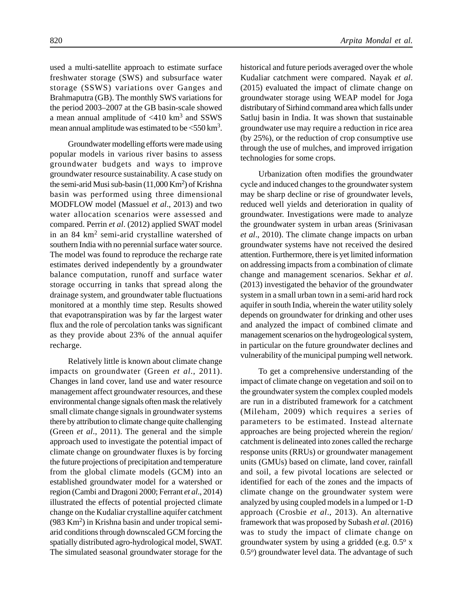used a multi-satellite approach to estimate surface freshwater storage (SWS) and subsurface water storage (SSWS) variations over Ganges and Brahmaputra (GB). The monthly SWS variations for the period 2003–2007 at the GB basin-scale showed a mean annual amplitude of  $\langle 410 \text{ km}^3 \rangle$  and SSWS mean annual amplitude was estimated to be  $<$  550 km<sup>3</sup>.

Groundwater modelling efforts were made using popular models in various river basins to assess groundwater budgets and ways to improve groundwater resource sustainability. A case study on the semi-arid Musi sub-basin (11,000 Km<sup>2</sup> ) of Krishna basin was performed using three dimensional MODFLOW model (Massuel *et al*., 2013) and two water allocation scenarios were assessed and compared. Perrin *et al*. (2012) applied SWAT model in an 84 km<sup>2</sup> semi-arid crystalline watershed of southern India with no perennial surface water source. The model was found to reproduce the recharge rate estimates derived independently by a groundwater balance computation, runoff and surface water storage occurring in tanks that spread along the drainage system, and groundwater table fluctuations monitored at a monthly time step. Results showed that evapotranspiration was by far the largest water flux and the role of percolation tanks was significant as they provide about 23% of the annual aquifer recharge.

Relatively little is known about climate change impacts on groundwater (Green *et al*., 2011). Changes in land cover, land use and water resource management affect groundwater resources, and these environmental change signals often mask the relatively small climate change signals in groundwater systems there by attribution to climate change quite challenging (Green *et al*., 2011). The general and the simple approach used to investigate the potential impact of climate change on groundwater fluxes is by forcing the future projections of precipitation and temperature from the global climate models (GCM) into an established groundwater model for a watershed or region (Cambi and Dragoni 2000; Ferrant *et al*., 2014) illustrated the effects of potential projected climate change on the Kudaliar crystalline aquifer catchment (983 Km<sup>2</sup>) in Krishna basin and under tropical semiarid conditions through downscaled GCM forcing the spatially distributed agro-hydrological model, SWAT. The simulated seasonal groundwater storage for the

historical and future periods averaged over the whole Kudaliar catchment were compared. Nayak *et al*. (2015) evaluated the impact of climate change on groundwater storage using WEAP model for Joga distributary of Sirhind command area which falls under Satluj basin in India. It was shown that sustainable groundwater use may require a reduction in rice area (by 25%), or the reduction of crop consumptive use through the use of mulches, and improved irrigation technologies for some crops.

Urbanization often modifies the groundwater cycle and induced changes to the groundwater system may be sharp decline or rise of groundwater levels, reduced well yields and deterioration in quality of groundwater. Investigations were made to analyze the groundwater system in urban areas (Srinivasan *et al*., 2010). The climate change impacts on urban groundwater systems have not received the desired attention. Furthermore, there is yet limited information on addressing impacts from a combination of climate change and management scenarios. Sekhar *et al*. (2013) investigated the behavior of the groundwater system in a small urban town in a semi-arid hard rock aquifer in south India, wherein the water utility solely depends on groundwater for drinking and other uses and analyzed the impact of combined climate and management scenarios on the hydrogeological system, in particular on the future groundwater declines and vulnerability of the municipal pumping well network.

To get a comprehensive understanding of the impact of climate change on vegetation and soil on to the groundwater system the complex coupled models are run in a distributed framework for a catchment (Mileham, 2009) which requires a series of parameters to be estimated. Instead alternate approaches are being projected wherein the region/ catchment is delineated into zones called the recharge response units (RRUs) or groundwater management units (GMUs) based on climate, land cover, rainfall and soil, a few pivotal locations are selected or identified for each of the zones and the impacts of climate change on the groundwater system were analyzed by using coupled models in a lumped or 1-D approach (Crosbie *et al*., 2013). An alternative framework that was proposed by Subash *et al*. (2016) was to study the impact of climate change on groundwater system by using a gridded (e.g.  $0.5^\circ$  x 0.5°) groundwater level data. The advantage of such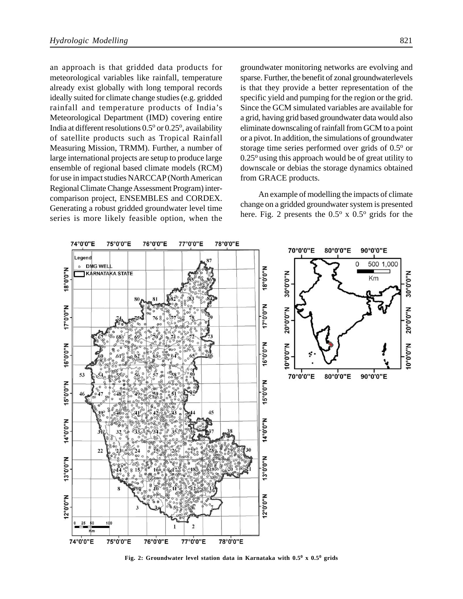an approach is that gridded data products for meteorological variables like rainfall, temperature already exist globally with long temporal records ideally suited for climate change studies (e.g. gridded rainfall and temperature products of India's Meteorological Department (IMD) covering entire India at different resolutions 0.5° or 0.25°, availability of satellite products such as Tropical Rainfall Measuring Mission, TRMM). Further, a number of large international projects are setup to produce large ensemble of regional based climate models (RCM) for use in impact studies NARCCAP (North American Regional Climate Change Assessment Program) intercomparison project, ENSEMBLES and CORDEX. Generating a robust gridded groundwater level time series is more likely feasible option, when the groundwater monitoring networks are evolving and sparse. Further, the benefit of zonal groundwaterlevels is that they provide a better representation of the specific yield and pumping for the region or the grid. Since the GCM simulated variables are available for a grid, having grid based groundwater data would also eliminate downscaling of rainfall from GCM to a point or a pivot. In addition, the simulations of groundwater storage time series performed over grids of 0.5° or  $0.25^{\circ}$  using this approach would be of great utility to downscale or debias the storage dynamics obtained from GRACE products.

An example of modelling the impacts of climate change on a gridded groundwater system is presented here. Fig. 2 presents the  $0.5^{\circ}$  x  $0.5^{\circ}$  grids for the



**Fig. 2: Groundwater level station data in Karnataka with 0.5<sup>0</sup> x 0.5<sup>0</sup> grids**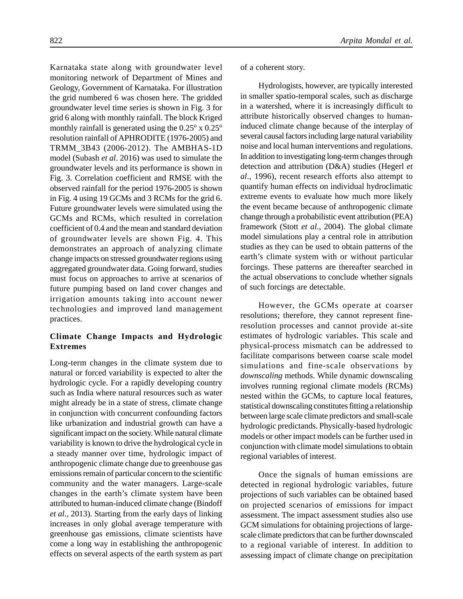Karnataka state along with groundwater level monitoring network of Department of Mines and Geology, Government of Karnataka. For illustration the grid numbered 6 was chosen here. The gridded groundwater level time series is shown in Fig. 3 for grid 6 along with monthly rainfall. The block Kriged monthly rainfall is generated using the  $0.25^{\circ}$  x  $0.25^{\circ}$ resolution rainfall of APHRODITE (1976-2005) and TRMM\_3B43 (2006-2012). The AMBHAS-1D model (Subash *et al*. 2016) was used to simulate the groundwater levels and its performance is shown in Fig. 3. Correlation coefficient and RMSE with the observed rainfall for the period 1976-2005 is shown in Fig. 4 using 19 GCMs and 3 RCMs for the grid 6. Future groundwater levels were simulated using the GCMs and RCMs, which resulted in correlation coefficient of 0.4 and the mean and standard deviation of groundwater levels are shown Fig. 4. This demonstrates an approach of analyzing climate change impacts on stressed groundwater regions using aggregated groundwater data. Going forward, studies must focus on approaches to arrive at scenarios of future pumping based on land cover changes and irrigation amounts taking into account newer technologies and improved land management practices.

# **Climate Change Impacts and Hydrologic Extremes**

Long-term changes in the climate system due to natural or forced variability is expected to alter the hydrologic cycle. For a rapidly developing country such as India where natural resources such as water might already be in a state of stress, climate change in conjunction with concurrent confounding factors like urbanization and industrial growth can have a significant impact on the society. While natural climate variability is known to drive the hydrological cycle in a steady manner over time, hydrologic impact of anthropogenic climate change due to greenhouse gas emissions remain of particular concern to the scientific community and the water managers. Large-scale changes in the earth's climate system have been attributed to human-induced climate change (Bindoff *et al*., 2013). Starting from the early days of linking increases in only global average temperature with greenhouse gas emissions, climate scientists have come a long way in establishing the anthropogenic effects on several aspects of the earth system as part

of a coherent story.

Hydrologists, however, are typically interested in smaller spatio-temporal scales, such as discharge in a watershed, where it is increasingly difficult to attribute historically observed changes to humaninduced climate change because of the interplay of several causal factors including large natural variability noise and local human interventions and regulations. In addition to investigating long-term changes through detection and attribution (D&A) studies (Hegerl *et al*., 1996), recent research efforts also attempt to quantify human effects on individual hydroclimatic extreme events to evaluate how much more likely the event became because of anthropogenic climate change through a probabilistic event attribution (PEA) framework (Stott *et al*., 2004). The global climate model simulations play a central role in attribution studies as they can be used to obtain patterns of the earth's climate system with or without particular forcings. These patterns are thereafter searched in the actual observations to conclude whether signals of such forcings are detectable.

However, the GCMs operate at coarser resolutions; therefore, they cannot represent fineresolution processes and cannot provide at-site estimates of hydrologic variables. This scale and physical-process mismatch can be addressed to facilitate comparisons between coarse scale model simulations and fine-scale observations by *downscaling* methods. While dynamic downscaling involves running regional climate models (RCMs) nested within the GCMs, to capture local features, statistical downscaling constitutes fitting a relationship between large scale climate predictors and small-scale hydrologic predictands. Physically-based hydrologic models or other impact models can be further used in conjunction with climate model simulations to obtain regional variables of interest.

Once the signals of human emissions are detected in regional hydrologic variables, future projections of such variables can be obtained based on projected scenarios of emissions for impact assessment. The impact assessment studies also use GCM simulations for obtaining projections of largescale climate predictors that can be further downscaled to a regional variable of interest. In addition to assessing impact of climate change on precipitation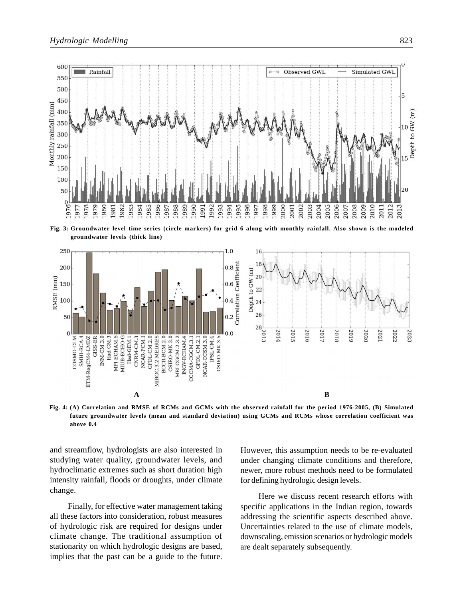

**Fig. 3: Groundwater level time series (circle markers) for grid 6 along with monthly rainfall. Also shown is the modeled groundwater levels (thick line)**



**Fig. 4: (A) Correlation and RMSE of RCMs and GCMs with the observed rainfall for the period 1976-2005, (B) Simulated future groundwater levels (mean and standard deviation) using GCMs and RCMs whose correlation coefficient was above 0.4**

and streamflow, hydrologists are also interested in studying water quality, groundwater levels, and hydroclimatic extremes such as short duration high intensity rainfall, floods or droughts, under climate change.

Finally, for effective water management taking all these factors into consideration, robust measures of hydrologic risk are required for designs under climate change. The traditional assumption of stationarity on which hydrologic designs are based, implies that the past can be a guide to the future.

However, this assumption needs to be re-evaluated under changing climate conditions and therefore, newer, more robust methods need to be formulated for defining hydrologic design levels.

Here we discuss recent research efforts with specific applications in the Indian region, towards addressing the scientific aspects described above. Uncertainties related to the use of climate models, downscaling, emission scenarios or hydrologic models are dealt separately subsequently.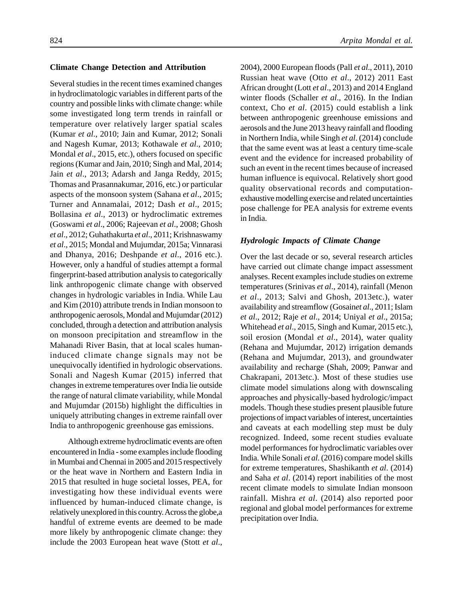#### **Climate Change Detection and Attribution**

Several studies in the recent times examined changes in hydroclimatologic variables in different parts of the country and possible links with climate change: while some investigated long term trends in rainfall or temperature over relatively larger spatial scales (Kumar *et al*., 2010; Jain and Kumar, 2012; Sonali and Nagesh Kumar, 2013; Kothawale *et al*., 2010; Mondal *et al*., 2015, etc.), others focused on specific regions (Kumar and Jain, 2010; Singh and Mal, 2014; Jain *et al*., 2013; Adarsh and Janga Reddy, 2015; Thomas and Prasannakumar, 2016, etc.) or particular aspects of the monsoon system (Sahana *et al*., 2015; Turner and Annamalai, 2012; Dash *et al*., 2015; Bollasina *et al*., 2013) or hydroclimatic extremes (Goswami *et al*., 2006; Rajeevan *et al*., 2008; Ghosh *et al*., 2012; Guhathakurta *et al*., 2011; Krishnaswamy *et al*., 2015; Mondal and Mujumdar, 2015a; Vinnarasi and Dhanya, 2016; Deshpande *et al*., 2016 etc.). However, only a handful of studies attempt a formal fingerprint-based attribution analysis to categorically link anthropogenic climate change with observed changes in hydrologic variables in India. While Lau and Kim (2010) attribute trends in Indian monsoon to anthropogenic aerosols, Mondal and Mujumdar (2012) concluded, through a detection and attribution analysis on monsoon precipitation and streamflow in the Mahanadi River Basin, that at local scales humaninduced climate change signals may not be unequivocally identified in hydrologic observations. Sonali and Nagesh Kumar (2015) inferred that changes in extreme temperatures over India lie outside the range of natural climate variability, while Mondal and Mujumdar (2015b) highlight the difficulties in uniquely attributing changes in extreme rainfall over India to anthropogenic greenhouse gas emissions.

Although extreme hydroclimatic events are often encountered in India - some examples include flooding in Mumbai and Chennai in 2005 and 2015 respectively or the heat wave in Northern and Eastern India in 2015 that resulted in huge societal losses, PEA, for investigating how these individual events were influenced by human-induced climate change, is relatively unexplored in this country. Across the globe,a handful of extreme events are deemed to be made more likely by anthropogenic climate change: they include the 2003 European heat wave (Stott *et al*., 2004), 2000 European floods (Pall *et al*., 2011), 2010 Russian heat wave (Otto *et al*., 2012) 2011 East African drought (Lott *et al*., 2013) and 2014 England winter floods (Schaller *et al*., 2016). In the Indian context, Cho *et al*. (2015) could establish a link between anthropogenic greenhouse emissions and aerosols and the June 2013 heavy rainfall and flooding in Northern India, while Singh *et al*. (2014) conclude that the same event was at least a century time-scale event and the evidence for increased probability of such an event in the recent times because of increased human influence is equivocal. Relatively short good quality observational records and computationexhaustive modelling exercise and related uncertainties pose challenge for PEA analysis for extreme events in India.

#### *Hydrologic Impacts of Climate Change*

Over the last decade or so, several research articles have carried out climate change impact assessment analyses. Recent examples include studies on extreme temperatures (Srinivas *et al*., 2014), rainfall (Menon *et al*., 2013; Salvi and Ghosh, 2013etc.), water availability and streamflow (Gosain*et al*., 2011; Islam *et al*., 2012; Raje *et al*., 2014; Uniyal *et al*., 2015a; Whitehead *et al*., 2015, Singh and Kumar, 2015 etc.), soil erosion (Mondal *et al*., 2014), water quality (Rehana and Mujumdar, 2012) irrigation demands (Rehana and Mujumdar, 2013), and groundwater availability and recharge (Shah, 2009; Panwar and Chakrapani, 2013etc.). Most of these studies use climate model simulations along with downscaling approaches and physically-based hydrologic/impact models. Though these studies present plausible future projections of impact variables of interest, uncertainties and caveats at each modelling step must be duly recognized. Indeed, some recent studies evaluate model performances for hydroclimatic variables over India. While Sonali *et al*. (2016) compare model skills for extreme temperatures, Shashikanth *et al*. (2014) and Saha *et al*. (2014) report inabilities of the most recent climate models to simulate Indian monsoon rainfall. Mishra *et al*. (2014) also reported poor regional and global model performances for extreme precipitation over India.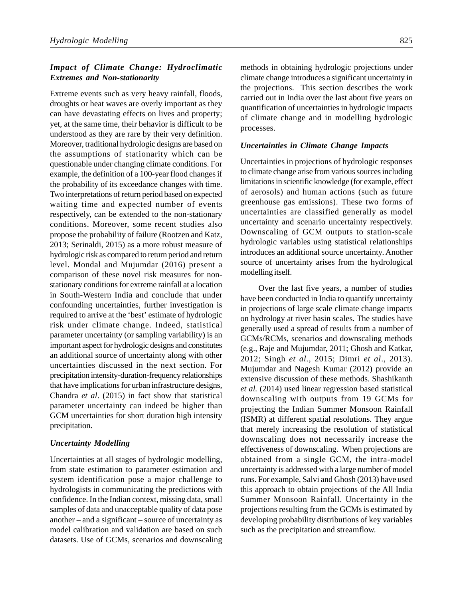# *Impact of Climate Change: Hydroclimatic Extremes and Non-stationarity*

Extreme events such as very heavy rainfall, floods, droughts or heat waves are overly important as they can have devastating effects on lives and property; yet, at the same time, their behavior is difficult to be understood as they are rare by their very definition. Moreover, traditional hydrologic designs are based on the assumptions of stationarity which can be questionable under changing climate conditions. For example, the definition of a 100-year flood changes if the probability of its exceedance changes with time. Two interpretations of return period based on expected waiting time and expected number of events respectively, can be extended to the non-stationary conditions. Moreover, some recent studies also propose the probability of failure (Rootzen and Katz, 2013; Serinaldi, 2015) as a more robust measure of hydrologic risk as compared to return period and return level. Mondal and Mujumdar (2016) present a comparison of these novel risk measures for nonstationary conditions for extreme rainfall at a location in South-Western India and conclude that under confounding uncertainties, further investigation is required to arrive at the 'best' estimate of hydrologic risk under climate change. Indeed, statistical parameter uncertainty (or sampling variability) is an important aspect for hydrologic designs and constitutes an additional source of uncertainty along with other uncertainties discussed in the next section. For precipitation intensity-duration-frequency relationships that have implications for urban infrastructure designs, Chandra *et al*. (2015) in fact show that statistical parameter uncertainty can indeed be higher than GCM uncertainties for short duration high intensity precipitation.

### *Uncertainty Modelling*

Uncertainties at all stages of hydrologic modelling, from state estimation to parameter estimation and system identification pose a major challenge to hydrologists in communicating the predictions with confidence. In the Indian context, missing data, small samples of data and unacceptable quality of data pose another – and a significant – source of uncertainty as model calibration and validation are based on such datasets. Use of GCMs, scenarios and downscaling methods in obtaining hydrologic projections under climate change introduces a significant uncertainty in the projections. This section describes the work carried out in India over the last about five years on quantification of uncertainties in hydrologic impacts of climate change and in modelling hydrologic processes.

### *Uncertainties in Climate Change Impacts*

Uncertainties in projections of hydrologic responses to climate change arise from various sources including limitations in scientific knowledge (for example, effect of aerosols) and human actions (such as future greenhouse gas emissions). These two forms of uncertainties are classified generally as model uncertainty and scenario uncertainty respectively. Downscaling of GCM outputs to station-scale hydrologic variables using statistical relationships introduces an additional source uncertainty. Another source of uncertainty arises from the hydrological modelling itself.

Over the last five years, a number of studies have been conducted in India to quantify uncertainty in projections of large scale climate change impacts on hydrology at river basin scales. The studies have generally used a spread of results from a number of GCMs/RCMs, scenarios and downscaling methods (e.g., Raje and Mujumdar, 2011; Ghosh and Katkar, 2012; Singh *et al*., 2015; Dimri *et al*., 2013). Mujumdar and Nagesh Kumar (2012) provide an extensive discussion of these methods. Shashikanth *et al.* (2014) used linear regression based statistical downscaling with outputs from 19 GCMs for projecting the Indian Summer Monsoon Rainfall (ISMR) at different spatial resolutions. They argue that merely increasing the resolution of statistical downscaling does not necessarily increase the effectiveness of downscaling. When projections are obtained from a single GCM, the intra-model uncertainty is addressed with a large number of model runs. For example, Salvi and Ghosh (2013) have used this approach to obtain projections of the All India Summer Monsoon Rainfall. Uncertainty in the projections resulting from the GCMs is estimated by developing probability distributions of key variables such as the precipitation and streamflow.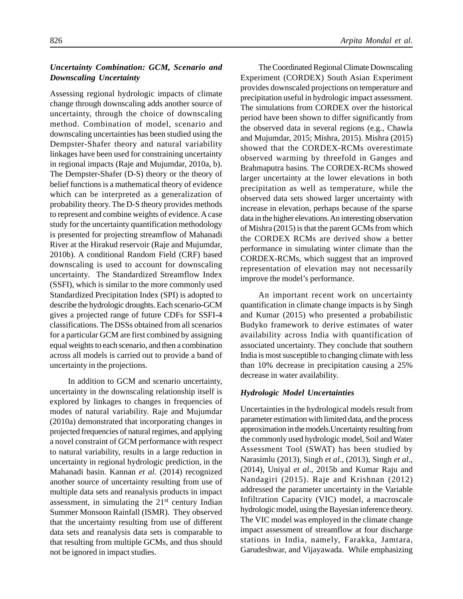## *Uncertainty Combination: GCM, Scenario and Downscaling Uncertainty*

Assessing regional hydrologic impacts of climate change through downscaling adds another source of uncertainty, through the choice of downscaling method. Combination of model, scenario and downscaling uncertainties has been studied using the Dempster-Shafer theory and natural variability linkages have been used for constraining uncertainty in regional impacts (Raje and Mujumdar, 2010a, b). The Dempster-Shafer (D-S) theory or the theory of belief functions is a mathematical theory of evidence which can be interpreted as a generalization of probability theory. The D-S theory provides methods to represent and combine weights of evidence. A case study for the uncertainty quantification methodology is presented for projecting streamflow of Mahanadi River at the Hirakud reservoir (Raje and Mujumdar, 2010b). A conditional Random Field (CRF) based downscaling is used to account for downscaling uncertainty. The Standardized Streamflow Index (SSFI), which is similar to the more commonly used Standardized Precipitation Index (SPI) is adopted to describe the hydrologic droughts. Each scenario-GCM gives a projected range of future CDFs for SSFI-4 classifications. The DSSs obtained from all scenarios for a particular GCM are first combined by assigning equal weights to each scenario, and then a combination across all models is carried out to provide a band of uncertainty in the projections.

In addition to GCM and scenario uncertainty, uncertainty in the downscaling relationship itself is explored by linkages to changes in frequencies of modes of natural variability. Raje and Mujumdar (2010a) demonstrated that incorporating changes in projected frequencies of natural regimes, and applying a novel constraint of GCM performance with respect to natural variability, results in a large reduction in uncertainty in regional hydrologic prediction, in the Mahanadi basin. Kannan *et al.* (2014) recognized another source of uncertainty resulting from use of multiple data sets and reanalysis products in impact assessment, in simulating the  $21<sup>st</sup>$  century Indian Summer Monsoon Rainfall (ISMR). They observed that the uncertainty resulting from use of different data sets and reanalysis data sets is comparable to that resulting from multiple GCMs, and thus should not be ignored in impact studies.

The Coordinated Regional Climate Downscaling Experiment (CORDEX) South Asian Experiment provides downscaled projections on temperature and precipitation useful in hydrologic impact assessment. The simulations from CORDEX over the historical period have been shown to differ significantly from the observed data in several regions (e.g., Chawla and Mujumdar, 2015; Mishra, 2015). Mishra (2015) showed that the CORDEX-RCMs overestimate observed warming by threefold in Ganges and Brahmaputra basins. The CORDEX-RCMs showed larger uncertainty at the lower elevations in both precipitation as well as temperature, while the observed data sets showed larger uncertainty with increase in elevation, perhaps because of the sparse data in the higher elevations. An interesting observation of Mishra (2015) is that the parent GCMs from which the CORDEX RCMs are derived show a better performance in simulating winter climate than the CORDEX-RCMs, which suggest that an improved representation of elevation may not necessarily improve the model's performance.

An important recent work on uncertainty quantification in climate change impacts is by Singh and Kumar (2015) who presented a probabilistic Budyko framework to derive estimates of water availability across India with quantification of associated uncertainty. They conclude that southern India is most susceptible to changing climate with less than 10% decrease in precipitation causing a 25% decrease in water availability.

#### *Hydrologic Model Uncertainties*

Uncertainties in the hydrological models result from parameter estimation with limited data, and the process approximation in the models.Uncertainty resulting from the commonly used hydrologic model, Soil and Water Assessment Tool (SWAT) has been studied by Narasimlu (2013), Singh *et al*., (2013), Singh *et al*., (2014), Uniyal *et al*., 2015b and Kumar Raju and Nandagiri (2015). Raje and Krishnan (2012) addressed the parameter uncertainty in the Variable Infiltration Capacity (VIC) model, a macroscale hydrologic model, using the Bayesian inference theory. The VIC model was employed in the climate change impact assessment of streamflow at four discharge stations in India, namely, Farakka, Jamtara, Garudeshwar, and Vijayawada. While emphasizing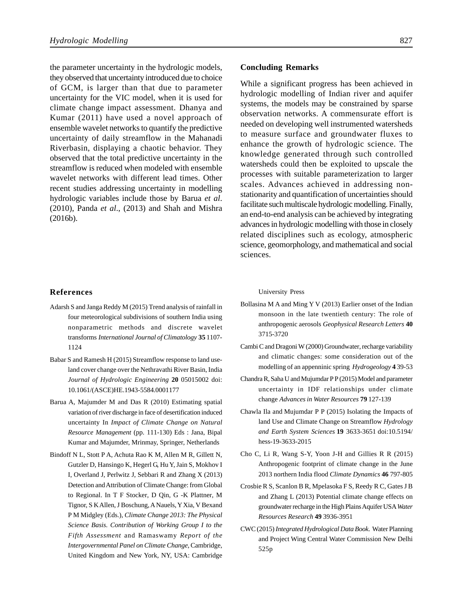the parameter uncertainty in the hydrologic models, they observed that uncertainty introduced due to choice of GCM, is larger than that due to parameter uncertainty for the VIC model, when it is used for climate change impact assessment. Dhanya and Kumar (2011) have used a novel approach of ensemble wavelet networks to quantify the predictive uncertainty of daily streamflow in the Mahanadi Riverbasin, displaying a chaotic behavior. They observed that the total predictive uncertainty in the streamflow is reduced when modeled with ensemble wavelet networks with different lead times. Other recent studies addressing uncertainty in modelling hydrologic variables include those by Barua *et al*. (2010), Panda *et al*., (2013) and Shah and Mishra (2016b).

### **References**

- Adarsh S and Janga Reddy M (2015) Trend analysis of rainfall in four meteorological subdivisions of southern India using nonparametric methods and discrete wavelet transforms *International Journal of Climatology* **35** 1107- 1124
- Babar S and Ramesh H (2015) Streamflow response to land useland cover change over the Nethravathi River Basin, India *Journal of Hydrologic Engineering* **20** 05015002 doi: 10.1061/(ASCE)HE.1943-5584.0001177
- Barua A, Majumder M and Das R (2010) Estimating spatial variation of river discharge in face of desertification induced uncertainty In *Impact of Climate Change on Natural Resource Management* (pp. 111-130) Eds : Jana, Bipal Kumar and Majumder, Mrinmay, Springer, Netherlands
- Bindoff N L, Stott P A, Achuta Rao K M, Allen M R, Gillett N, Gutzler D, Hansingo K, Hegerl G, Hu Y, Jain S, Mokhov I I, Overland J, Perlwitz J, Sebbari R and Zhang X (2013) Detection and Attribution of Climate Change: from Global to Regional. In T F Stocker, D Qin, G -K Plattner, M Tignor, S K Allen, J Boschung, A Nauels, Y Xia, V Bexand P M Midgley (Eds.), *Climate Change 2013: The Physical Science Basis. Contribution of Working Group I to the Fifth Assessment* and Ramaswamy *Report of the Intergovernmental Panel on Climate Change*, Cambridge, United Kingdom and New York, NY, USA: Cambridge

#### **Concluding Remarks**

While a significant progress has been achieved in hydrologic modelling of Indian river and aquifer systems, the models may be constrained by sparse observation networks. A commensurate effort is needed on developing well instrumented watersheds to measure surface and groundwater fluxes to enhance the growth of hydrologic science. The knowledge generated through such controlled watersheds could then be exploited to upscale the processes with suitable parameterization to larger scales. Advances achieved in addressing nonstationarity and quantification of uncertainties should facilitate such multiscale hydrologic modelling. Finally, an end-to-end analysis can be achieved by integrating advances in hydrologic modelling with those in closely related disciplines such as ecology, atmospheric science, geomorphology, and mathematical and social sciences.

#### University Press

- Bollasina M A and Ming Y V (2013) Earlier onset of the Indian monsoon in the late twentieth century: The role of anthropogenic aerosols *Geophysical Research Letters* **40** 3715-3720
- Cambi C and Dragoni W (2000) Groundwater, recharge variability and climatic changes: some consideration out of the modelling of an appenninic spring *Hydrogeology* **4** 39-53
- Chandra R, Saha U and Mujumdar P P (2015) Model and parameter uncertainty in IDF relationships under climate change *Advances in Water Resources* **79** 127-139
- Chawla Ila and Mujumdar P P (2015) Isolating the Impacts of land Use and Climate Change on Streamflow *Hydrology and Earth System Sciences* **19** 3633-3651 doi:10.5194/ hess-19-3633-2015
- Cho C, Li R, Wang S-Y, Yoon J-H and Gillies R R (2015) Anthropogenic footprint of climate change in the June 2013 northern India flood *Climate Dynamics* **46** 797-805
- Crosbie R S, Scanlon B R, Mpelasoka F S, Reedy R C, Gates J B and Zhang L (2013) Potential climate change effects on groundwater recharge in the High Plains Aquifer USA*Water Resources Research* **49** 3936-3951
- CWC (2015) *Integrated Hydrological Data Book*. Water Planning and Project Wing Central Water Commission New Delhi 525p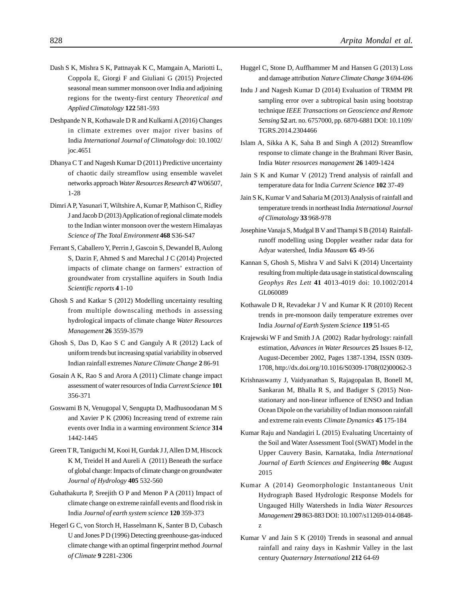- Dash S K, Mishra S K, Pattnayak K C, Mamgain A, Mariotti L, Coppola E, Giorgi F and Giuliani G (2015) Projected seasonal mean summer monsoon over India and adjoining regions for the twenty-first century *Theoretical and Applied Climatology* **122** 581-593
- Deshpande N R, Kothawale D R and Kulkarni A (2016) Changes in climate extremes over major river basins of India *International Journal of Climatology* doi: 10.1002/ joc.4651
- Dhanya C T and Nagesh Kumar D (2011) Predictive uncertainty of chaotic daily streamflow using ensemble wavelet networks approach *Water Resources Research* **47**W06507, 1-28
- Dimri A P, Yasunari T, Wiltshire A, Kumar P, Mathison C, Ridley J and Jacob D (2013) Application of regional climate models to the Indian winter monsoon over the western Himalayas *Science of The Total Environment* **468** S36-S47
- Ferrant S, Caballero Y, Perrin J, Gascoin S, Dewandel B, Aulong S, Dazin F, Ahmed S and Marechal J C (2014) Projected impacts of climate change on farmers' extraction of groundwater from crystalline aquifers in South India *Scientific reports* **4** 1-10
- Ghosh S and Katkar S (2012) Modelling uncertainty resulting from multiple downscaling methods in assessing hydrological impacts of climate change *Water Resources Management* **26** 3559-3579
- Ghosh S, Das D, Kao S C and Ganguly A R (2012) Lack of uniform trends but increasing spatial variability in observed Indian rainfall extremes *Nature Climate Change* **2** 86-91
- Gosain A K, Rao S and Arora A (2011) Climate change impact assessment of water resources of India *Current Science* **101** 356-371
- Goswami B N, Venugopal V, Sengupta D, Madhusoodanan M S and Xavier P K (2006) Increasing trend of extreme rain events over India in a warming environment *Science* **314** 1442-1445
- Green T R, Taniguchi M, Kooi H, Gurdak J J, Allen D M, Hiscock K M, Treidel H and Aureli A (2011) Beneath the surface of global change: Impacts of climate change on groundwater *Journal of Hydrology* **405** 532-560
- Guhathakurta P, Sreejith O P and Menon P A (2011) Impact of climate change on extreme rainfall events and flood risk in India *Journal of earth system science* **120** 359-373
- Hegerl G C, von Storch H, Hasselmann K, Santer B D, Cubasch U and Jones P D (1996) Detecting greenhouse-gas-induced climate change with an optimal fingerprint method *Journal of Climate* **9** 2281-2306
- Huggel C, Stone D, Auffhammer M and Hansen G (2013) Loss and damage attribution *Nature Climate Change* **3** 694-696
- Indu J and Nagesh Kumar D (2014) Evaluation of TRMM PR sampling error over a subtropical basin using bootstrap technique *IEEE Transactions on Geoscience and Remote Sensing* **52** art. no. 6757000, pp. 6870-6881 DOI: 10.1109/ TGRS.2014.2304466
- Islam A, Sikka A K, Saha B and Singh A (2012) Streamflow response to climate change in the Brahmani River Basin, India *Water resources management* **26** 1409-1424
- Jain S K and Kumar V (2012) Trend analysis of rainfall and temperature data for India *Current Science* **102** 37-49
- Jain S K, Kumar V and Saharia M (2013) Analysis of rainfall and temperature trends in northeast India *International Journal of Climatology* **33** 968-978
- Josephine Vanaja S, Mudgal B V and Thampi S B (2014) Rainfallrunoff modelling using Doppler weather radar data for Adyar watershed, India *Mausam* **65** 49-56
- Kannan S, Ghosh S, Mishra V and Salvi K (2014) Uncertainty resulting from multiple data usage in statistical downscaling *Geophys Res Lett* **41** 4013-4019 doi: 10.1002/2014 GL060089
- Kothawale D R, Revadekar J V and Kumar K R (2010) Recent trends in pre-monsoon daily temperature extremes over India *Journal of Earth System Science* **119** 51-65
- Krajewski W F and Smith J A (2002) Radar hydrology: rainfall estimation, *Advances in Water Resources* **25** Issues 8-12, August-December 2002, Pages 1387-1394, ISSN 0309- 1708, http://dx.doi.org/10.1016/S0309-1708(02)00062-3
- Krishnaswamy J, Vaidyanathan S, Rajagopalan B, Bonell M, Sankaran M, Bhalla R S, and Badiger S (2015) Nonstationary and non-linear influence of ENSO and Indian Ocean Dipole on the variability of Indian monsoon rainfall and extreme rain events *Climate Dynamics* **45** 175-184
- Kumar Raju and Nandagiri L (2015) Evaluating Uncertainty of the Soil and Water Assessment Tool (SWAT) Model in the Upper Cauvery Basin, Karnataka, India *International Journal of Earth Sciences and Engineering* **08c** August 2015
- Kumar A (2014) Geomorphologic Instantaneous Unit Hydrograph Based Hydrologic Response Models for Ungauged Hilly Watersheds in India *Water Resources Management* **29** 863-883 DOI: 10.1007/s11269-014-0848 z
- Kumar V and Jain S K (2010) Trends in seasonal and annual rainfall and rainy days in Kashmir Valley in the last century *Quaternary International* **212** 64-69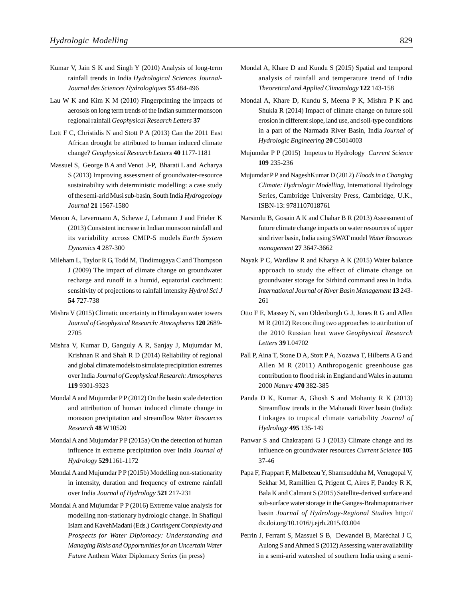- Kumar V, Jain S K and Singh Y (2010) Analysis of long-term rainfall trends in India *Hydrological Sciences Journal-Journal des Sciences Hydrologiques* **55** 484-496
- Lau W K and Kim K M (2010) Fingerprinting the impacts of aerosols on long term trends of the Indian summer monsoon regional rainfall *Geophysical Research Letters* **37**
- Lott F C, Christidis N and Stott P A (2013) Can the 2011 East African drought be attributed to human induced climate change? *Geophysical Research Letters* **40** 1177-1181
- Massuel S, George B A and Venot J-P, Bharati L and Acharya S (2013) Improving assessment of groundwater-resource sustainability with deterministic modelling: a case study of the semi-arid Musi sub-basin, South India *Hydrogeology Journal* **21** 1567-1580
- Menon A, Levermann A, Schewe J, Lehmann J and Frieler K (2013) Consistent increase in Indian monsoon rainfall and its variability across CMIP-5 models *Earth System Dynamics* **4** 287-300
- Mileham L, Taylor R G, Todd M, Tindimugaya C and Thompson J (2009) The impact of climate change on groundwater recharge and runoff in a humid, equatorial catchment: sensitivity of projections to rainfall intensity *Hydrol Sci J* **54** 727-738
- Mishra V (2015) Climatic uncertainty in Himalayan water towers *Journal of Geophysical Research: Atmospheres* **120** 2689- 2705
- Mishra V, Kumar D, Ganguly A R, Sanjay J, Mujumdar M, Krishnan R and Shah R D (2014) Reliability of regional and global climate models to simulate precipitation extremes over India *Journal of Geophysical Research: Atmospheres* **119** 9301-9323
- Mondal A and Mujumdar PP (2012) On the basin scale detection and attribution of human induced climate change in monsoon precipitation and streamflow *Water Resources Research* **48** W10520
- Mondal A and Mujumdar P P (2015a) On the detection of human influence in extreme precipitation over India *Journal of Hydrology* **529**1161-1172
- Mondal A and Mujumdar P P (2015b) Modelling non-stationarity in intensity, duration and frequency of extreme rainfall over India *Journal of Hydrology* **521** 217-231
- Mondal A and Mujumdar P P (2016) Extreme value analysis for modelling non-stationary hydrologic change. In Shafiqul Islam and KavehMadani (Eds.) *Contingent Complexity and Prospects for Water Diplomacy: Understanding and Managing Risks and Opportunities for an Uncertain Water Future* Anthem Water Diplomacy Series (in press)
- Mondal A, Khare D and Kundu S (2015) Spatial and temporal analysis of rainfall and temperature trend of India *Theoretical and Applied Climatology* **122** 143-158
- Mondal A, Khare D, Kundu S, Meena P K, Mishra P K and Shukla R (2014) Impact of climate change on future soil erosion in different slope, land use, and soil-type conditions in a part of the Narmada River Basin, India *Journal of Hydrologic Engineering* **20** C5014003
- Mujumdar P P (2015) Impetus to Hydrology *Current Science* **109** 235-236
- Mujumdar P P and NageshKumar D (2012) *Floods in a Changing Climate: Hydrologic Modelling*, International Hydrology Series, Cambridge University Press, Cambridge, U.K., ISBN-13: 9781107018761
- Narsimlu B, Gosain A K and Chahar B R (2013) Assessment of future climate change impacts on water resources of upper sind river basin, India using SWAT model *Water Resources management* **27** 3647-3662
- Nayak P C, Wardlaw R and Kharya A K (2015) Water balance approach to study the effect of climate change on groundwater storage for Sirhind command area in India. *International Journal of River Basin Management* **13** 243- 261
- Otto F E, Massey N, van Oldenborgh G J, Jones R G and Allen M R (2012) Reconciling two approaches to attribution of the 2010 Russian heat wave *Geophysical Research Letters* **39** L04702
- Pall P, Aina T, Stone D A, Stott PA, Nozawa T, Hilberts A G and Allen M R (2011) Anthropogenic greenhouse gas contribution to flood risk in England and Wales in autumn 2000 *Nature* **470** 382-385
- Panda D K, Kumar A, Ghosh S and Mohanty R K (2013) Streamflow trends in the Mahanadi River basin (India): Linkages to tropical climate variability *Journal of Hydrology* **495** 135-149
- Panwar S and Chakrapani G J (2013) Climate change and its influence on groundwater resources *Current Science* **105** 37-46
- Papa F, Frappart F, Malbeteau Y, Shamsudduha M, Venugopal V, Sekhar M, Ramillien G, Prigent C, Aires F, Pandey R K, Bala K and Calmant S (2015) Satellite-derived surface and sub-surface water storage in the Ganges-Brahmaputra river basin *Journal of Hydrology-Regional Studies* http:// dx.doi.org/10.1016/j.ejrh.2015.03.004
- Perrin J, Ferrant S, Massuel S B, Dewandel B, Maréchal J C, Aulong S and Ahmed S (2012) Assessing water availability in a semi-arid watershed of southern India using a semi-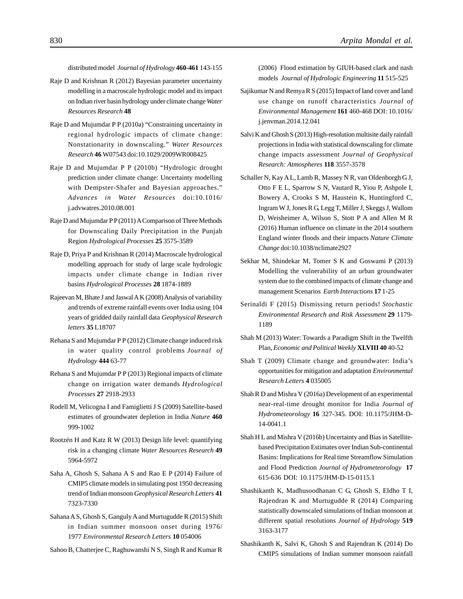distributed model *Journal of Hydrology* **460-461** 143-155

- Raje D and Krishnan R (2012) Bayesian parameter uncertainty modelling in a macroscale hydrologic model and its impact on Indian river basin hydrology under climate change *Water Resources Research* **48**
- Raje D and Mujumdar P P (2010a) "Constraining uncertainty in regional hydrologic impacts of climate change: Nonstationarity in downscaling." *Water Resources Research* **46** W07543 doi:10.1029/2009WR008425
- Raje D and Mujumdar P P (2010b) "Hydrologic drought prediction under climate change: Uncertainty modelling with Dempster-Shafer and Bayesian approaches." *Advances in Water Resources* doi:10.1016/ j.advwatres.2010.08.001
- Raje D and Mujumdar P P (2011) A Comparison of Three Methods for Downscaling Daily Precipitation in the Punjab Region *Hydrological Processes* **25** 3575-3589
- Raje D, Priya P and Krishnan R (2014) Macroscale hydrological modelling approach for study of large scale hydrologic impacts under climate change in Indian river basins *Hydrological Processes* **28** 1874-1889
- Rajeevan M, Bhate J and Jaswal A K (2008) Analysis of variability and trends of extreme rainfall events over India using 104 years of gridded daily rainfall data *Geophysical Research letters* **35** L18707
- Rehana S and Mujumdar P P (2012) Climate change induced risk in water quality control problems *Journal of Hydrology* **444** 63-77
- Rehana S and Mujumdar P P (2013) Regional impacts of climate change on irrigation water demands *Hydrological Processes* **27** 2918-2933
- Rodell M, Velicogna I and Famiglietti J S (2009) Satellite-based estimates of groundwater depletion in India *Nature* **460** 999-1002
- Rootzén H and Katz R W (2013) Design life level: quantifying risk in a changing climate *Water Resources Research* **49** 5964-5972
- Saha A, Ghosh S, Sahana A S and Rao E P (2014) Failure of CMIP5 climate models in simulating post 1950 decreasing trend of Indian monsoon *Geophysical Research Letters* **41** 7323-7330
- Sahana A S, Ghosh S, Ganguly A and Murtugudde R (2015) Shift in Indian summer monsoon onset during 1976/ 1977 *Environmental Research Letters* **10** 054006

Sahoo B, Chatterjee C, Raghuwanshi N S, Singh R and Kumar R

(2006) Flood estimation by GIUH-based clark and nash models *Journal of Hydrologic Engineering* **11** 515-525

- Sajikumar N and Remya R S (2015) Impact of land cover and land use change on runoff characteristics *Journal of Environmental Management* **161** 460-468 DOI: 10.1016/ j.jenvman.2014.12.041
- Salvi K and Ghosh S (2013) High-resolution multisite daily rainfall projections in India with statistical downscaling for climate change impacts assessment *Journal of Geophysical Research: Atmospheres* **118** 3557-3578
- Schaller N, Kay A L, Lamb R, Massey N R, van Oldenborgh G J, Otto F E L, Sparrow S N, Vautard R, Yiou P, Ashpole I, Bowery A, Crooks S M, Haustein K, Huntingford C, Ingram W J, Jones R G, Legg T, Miller J, Skeggs J, Wallom D, Weisheimer A, Wilson S, Stott P A and Allen M R (2016) Human influence on climate in the 2014 southern England winter floods and their impacts *Nature Climate Change* doi:10.1038/nclimate2927
- Sekhar M, Shindekar M, Tomer S K and Goswami P (2013) Modelling the vulnerability of an urban groundwater system due to the combined impacts of climate change and management Scenarios *Earth Interactions* **17** 1-25
- Serinaldi F (2015) Dismissing return periods! *Stochastic Environmental Research and Risk Assessment* **29** 1179- 1189
- Shah M (2013) Water: Towards a Paradigm Shift in the Twelfth Plan, *Economic and Political Weekly* **XLVIII 40** 40-52
- Shah T (2009) Climate change and groundwater: India's opportunities for mitigation and adaptation *Environmental Research Letters* **4** 035005
- Shah R D and Mishra V (2016a) Development of an experimental near-real-time drought monitor for India *Journal of Hydrometeorology* **16** 327-345. DOI: 10.1175/JHM-D-14-0041.1
- Shah H L and Mishra V (2016b) Uncertainty and Bias in Satellitebased Precipitation Estimates over Indian Sub-continental Basins: Implications for Real time Streamflow Simulation and Flood Prediction *Journal of Hydrometeorology* **17** 615-636 DOI: 10.1175/JHM-D-15-0115.1
- Shashikanth K, Madhusoodhanan C G, Ghosh S, Eldho T I, Rajendran K and Murtugudde R (2014) Comparing statistically downscaled simulations of Indian monsoon at different spatial resolutions *Journal of Hydrology* **519** 3163-3177
- Shashikanth K, Salvi K, Ghosh S and Rajendran K (2014) Do CMIP5 simulations of Indian summer monsoon rainfall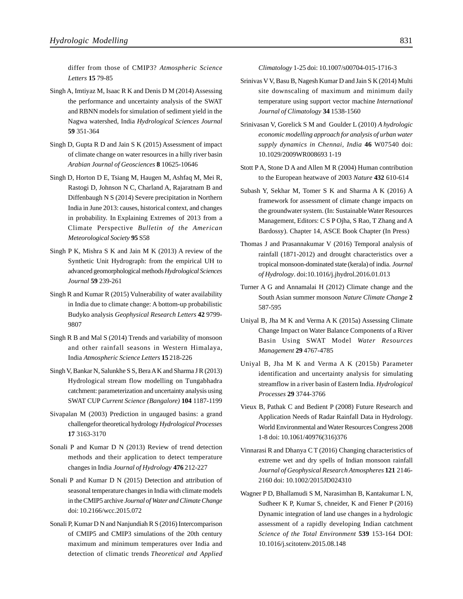differ from those of CMIP3? *Atmospheric Science Letters* **15** 79-85

- Singh A, Imtiyaz M, Isaac R K and Denis D M (2014) Assessing the performance and uncertainty analysis of the SWAT and RBNN models for simulation of sediment yield in the Nagwa watershed, India *Hydrological Sciences Journal* **59** 351-364
- Singh D, Gupta R D and Jain S K (2015) Assessment of impact of climate change on water resources in a hilly river basin *Arabian Journal of Geosciences* **8** 10625-10646
- Singh D, Horton D E, Tsiang M, Haugen M, Ashfaq M, Mei R, Rastogi D, Johnson N C, Charland A, Rajaratnam B and Diffenbaugh N S (2014) Severe precipitation in Northern India in June 2013: causes, historical context, and changes in probability. In Explaining Extremes of 2013 from a Climate Perspective *Bulletin of the American Meteorological Society* **95** S58
- Singh P K, Mishra S K and Jain M K (2013) A review of the Synthetic Unit Hydrograph: from the empirical UH to advanced geomorphological methods *Hydrological Sciences Journal* **59** 239-261
- Singh R and Kumar R (2015) Vulnerability of water availability in India due to climate change: A bottom-up probabilistic Budyko analysis *Geophysical Research Letters* **42** 9799- 9807
- Singh R B and Mal S (2014) Trends and variability of monsoon and other rainfall seasons in Western Himalaya, India *Atmospheric Science Letters* **15** 218-226
- Singh V, Bankar N, Salunkhe S S, Bera A K and Sharma J R (2013) Hydrological stream flow modelling on Tungabhadra catchment: parameterization and uncertainty analysis using SWAT CUP *Current Science (Bangalore)* **104** 1187-1199
- Sivapalan M (2003) Prediction in ungauged basins: a grand challengefor theoretical hydrology *Hydrological Processes* **17** 3163-3170
- Sonali P and Kumar D N (2013) Review of trend detection methods and their application to detect temperature changes in India *Journal of Hydrology* **476** 212-227
- Sonali P and Kumar D N (2015) Detection and attribution of seasonal temperature changes in India with climate models in the CMIP5 archive *Journal of Water and Climate Change* doi: 10.2166/wcc.2015.072
- Sonali P, Kumar D N and Nanjundiah R S (2016) Intercomparison of CMIP5 and CMIP3 simulations of the 20th century maximum and minimum temperatures over India and detection of climatic trends *Theoretical and Applied*

*Climatology* 1-25 doi: 10.1007/s00704-015-1716-3

- Srinivas V V, Basu B, Nagesh Kumar D and Jain S K (2014) Multi site downscaling of maximum and minimum daily temperature using support vector machine *International Journal of Climatology* **34** 1538-1560
- Srinivasan V, Gorelick S M and Goulder L (2010) *A hydrologic economic modelling approach for analysis of urban water supply dynamics in Chennai, India* **46** W07540 doi: 10.1029/2009WR008693 1-19
- Stott P A, Stone D A and Allen M R (2004) Human contribution to the European heatwave of 2003 *Nature* **432** 610-614
- Subash Y, Sekhar M, Tomer S K and Sharma A K (2016) A framework for assessment of climate change impacts on the groundwater system. (In: Sustainable Water Resources Management, Editors: C S P Ojha, S Rao, T Zhang and A Bardossy). Chapter 14, ASCE Book Chapter (In Press)
- Thomas J and Prasannakumar V (2016) Temporal analysis of rainfall (1871-2012) and drought characteristics over a tropical monsoon-dominated state (kerala) of india. *Journal of Hydrology*. doi:10.1016/j.jhydrol.2016.01.013
- Turner A G and Annamalai H (2012) Climate change and the South Asian summer monsoon *Nature Climate Change* **2** 587-595
- Uniyal B, Jha M K and Verma A K (2015a) Assessing Climate Change Impact on Water Balance Components of a River Basin Using SWAT Model *Water Resources Management* **29** 4767-4785
- Uniyal B, Jha M K and Verma A K (2015b) Parameter identification and uncertainty analysis for simulating streamflow in a river basin of Eastern India. *Hydrological Processes* **29** 3744-3766
- Vieux B, Pathak C and Bedient P (2008) Future Research and Application Needs of Radar Rainfall Data in Hydrology. World Environmental and Water Resources Congress 2008 1-8 doi: 10.1061/40976(316)376
- Vinnarasi R and Dhanya C T (2016) Changing characteristics of extreme wet and dry spells of Indian monsoon rainfall *Journal of Geophysical Research Atmospheres* **121** 2146- 2160 doi: 10.1002/2015JD024310
- Wagner P D, Bhallamudi S M, Narasimhan B, Kantakumar L N, Sudheer K P, Kumar S, chneider, K and Fiener P (2016) Dynamic integration of land use changes in a hydrologic assessment of a rapidly developing Indian catchment *Science of the Total Environment* **539** 153-164 DOI: 10.1016/j.scitotenv.2015.08.148